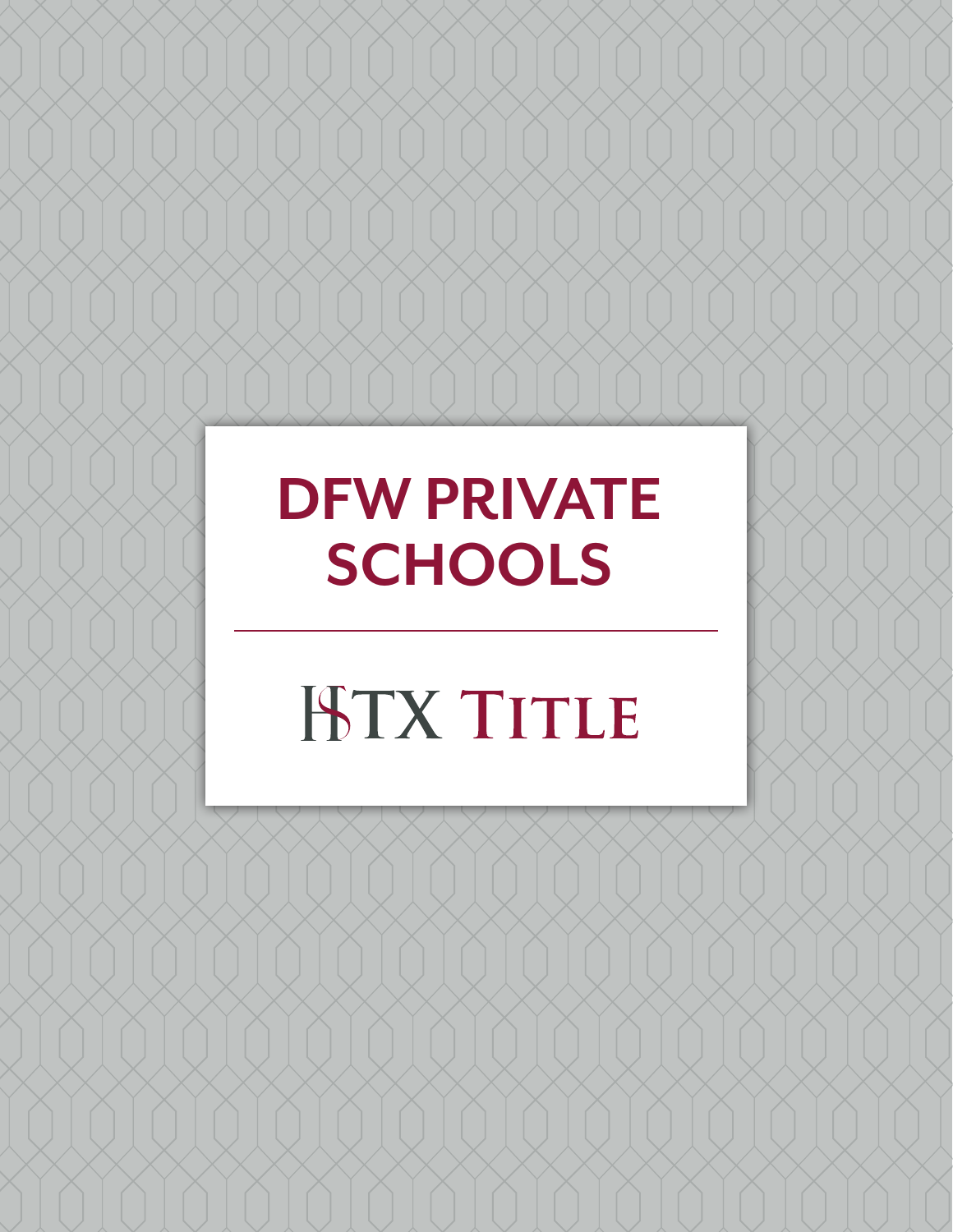## **DFW PRIVATE SCHOOLS**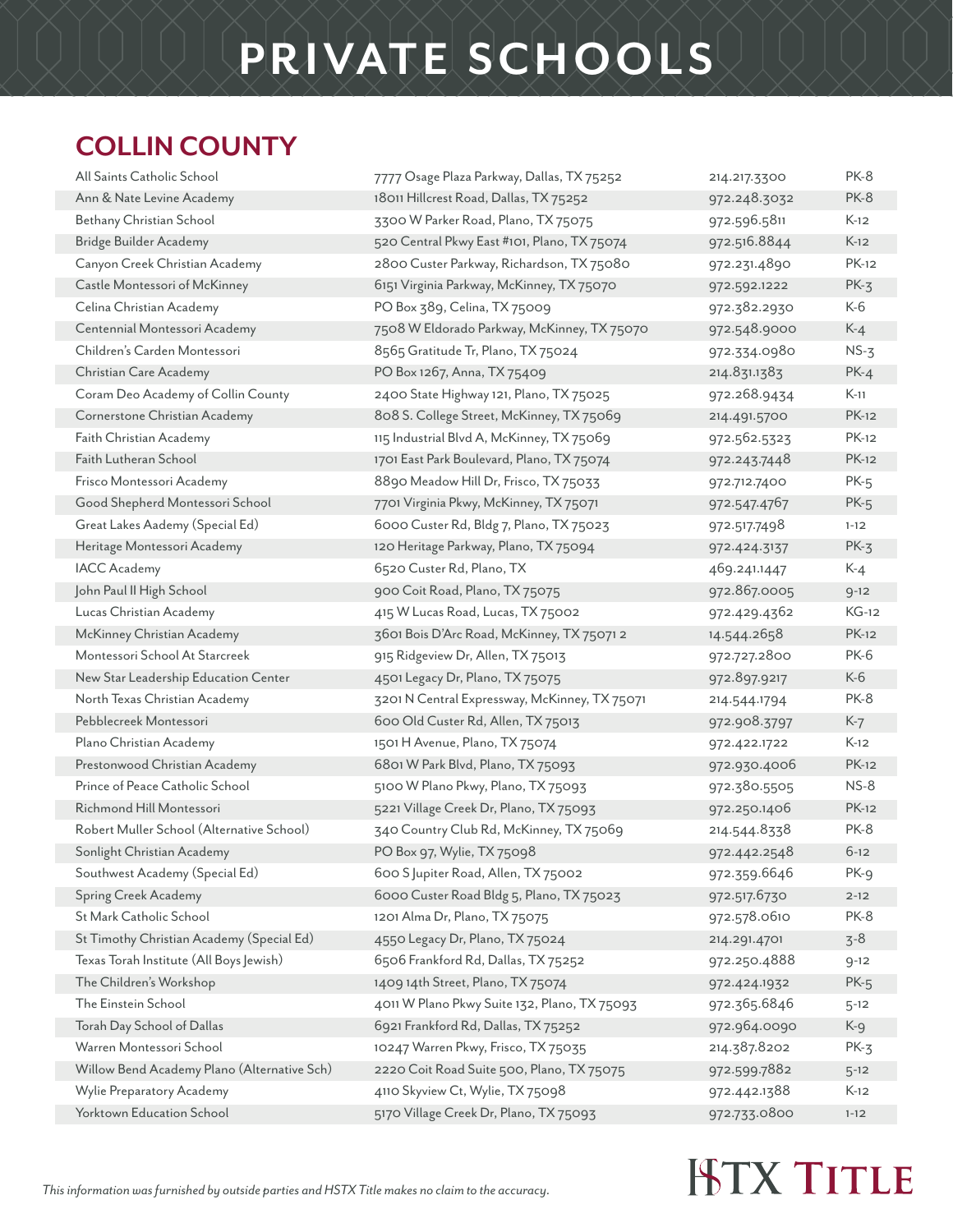#### **COLLIN COUNTY**

| All Saints Catholic School                  | 7777 Osage Plaza Parkway, Dallas, TX 75252    | 214.217.3300 | PK-8         |
|---------------------------------------------|-----------------------------------------------|--------------|--------------|
| Ann & Nate Levine Academy                   | 18011 Hillcrest Road, Dallas, TX 75252        | 972.248.3032 | PK-8         |
| Bethany Christian School                    | 3300 W Parker Road, Plano, TX 75075           | 972.596.5811 | $K-12$       |
| Bridge Builder Academy                      | 520 Central Pkwy East #101, Plano, TX 75074   | 972.516.8844 | $K-12$       |
| Canyon Creek Christian Academy              | 2800 Custer Parkway, Richardson, TX 75080     | 972.231.4890 | <b>PK-12</b> |
| Castle Montessori of McKinney               | 6151 Virginia Parkway, McKinney, TX 75070     | 972.592.1222 | $PK-3$       |
| Celina Christian Academy                    | PO Box 389, Celina, TX 75009                  | 972.382.2930 | K-6          |
| Centennial Montessori Academy               | 7508 W Eldorado Parkway, McKinney, TX 75070   | 972.548.9000 | $K-4$        |
| Children's Carden Montessori                | 8565 Gratitude Tr, Plano, TX 75024            | 972.334.0980 | $NS-3$       |
| Christian Care Academy                      | PO Box 1267, Anna, TX 75409                   | 214.831.1383 | $PK-4$       |
| Coram Deo Academy of Collin County          | 2400 State Highway 121, Plano, TX 75025       | 972.268.9434 | $K-11$       |
| Cornerstone Christian Academy               | 808 S. College Street, McKinney, TX 75069     | 214.491.5700 | <b>PK-12</b> |
| Faith Christian Academy                     | 115 Industrial Blvd A, McKinney, TX 75069     | 972.562.5323 | <b>PK-12</b> |
| Faith Lutheran School                       | 1701 East Park Boulevard, Plano, TX 75074     | 972.243.7448 | <b>PK-12</b> |
| Frisco Montessori Academy                   | 8890 Meadow Hill Dr, Frisco, TX 75033         | 972.712.7400 | $PK-5$       |
| Good Shepherd Montessori School             | 7701 Virginia Pkwy, McKinney, TX 75071        | 972.547.4767 | $PK-5$       |
| Great Lakes Aademy (Special Ed)             | 6000 Custer Rd, Bldg 7, Plano, TX 75023       | 972.517.7498 | $1 - 12$     |
| Heritage Montessori Academy                 | 120 Heritage Parkway, Plano, TX 75094         | 972.424.3137 | $PK-3$       |
| <b>IACC</b> Academy                         | 6520 Custer Rd, Plano, TX                     | 469.241.1447 | $K-4$        |
| John Paul II High School                    | 900 Coit Road, Plano, TX 75075                | 972.867.0005 | $9 - 12$     |
| Lucas Christian Academy                     | 415 W Lucas Road, Lucas, TX 75002             | 972.429.4362 | $KG-12$      |
| McKinney Christian Academy                  | 3601 Bois D'Arc Road, McKinney, TX 750712     | 14.544.2658  | <b>PK-12</b> |
| Montessori School At Starcreek              | 915 Ridgeview Dr, Allen, TX 75013             | 972.727.2800 | <b>PK-6</b>  |
| New Star Leadership Education Center        | 4501 Legacy Dr, Plano, TX 75075               | 972.897.9217 | K-6          |
| North Texas Christian Academy               | 3201 N Central Expressway, McKinney, TX 75071 | 214.544.1794 | PK-8         |
| Pebblecreek Montessori                      | 600 Old Custer Rd, Allen, TX 75013            | 972.908.3797 | $K-7$        |
| Plano Christian Academy                     | 1501 H Avenue, Plano, TX 75074                | 972.422.1722 | $K-12$       |
| Prestonwood Christian Academy               | 6801 W Park Blvd, Plano, TX 75093             | 972.930.4006 | <b>PK-12</b> |
| Prince of Peace Catholic School             | 5100 W Plano Pkwy, Plano, TX 75093            | 972.380.5505 | $NS-8$       |
| Richmond Hill Montessori                    | 5221 Village Creek Dr, Plano, TX 75093        | 972.250.1406 | <b>PK-12</b> |
| Robert Muller School (Alternative School)   | 340 Country Club Rd, McKinney, TX 75069       | 214.544.8338 | PK-8         |
| Sonlight Christian Academy                  | PO Box 97, Wylie, TX 75098                    | 972.442.2548 | $6 - 12$     |
| Southwest Academy (Special Ed)              | 600 S Jupiter Road, Allen, TX 75002           | 972.359.6646 | PK-9         |
| Spring Creek Academy                        | 6000 Custer Road Bldg 5, Plano, TX 75023      | 972.517.6730 | $2 - 12$     |
| St Mark Catholic School                     | 1201 Alma Dr, Plano, TX 75075                 | 972.578.0610 | PK-8         |
| St Timothy Christian Academy (Special Ed)   | 4550 Legacy Dr, Plano, TX 75024               | 214.291.4701 | $3 - 8$      |
| Texas Torah Institute (All Boys Jewish)     | 6506 Frankford Rd, Dallas, TX 75252           | 972.250.4888 | $9 - 12$     |
| The Children's Workshop                     | 1409 14th Street, Plano, TX 75074             | 972.424.1932 | $PK-5$       |
| The Einstein School                         | 4011 W Plano Pkwy Suite 132, Plano, TX 75093  | 972.365.6846 | $5 - 12$     |
| Torah Day School of Dallas                  | 6921 Frankford Rd, Dallas, TX 75252           | 972.964.0090 | $K-9$        |
| Warren Montessori School                    | 10247 Warren Pkwy, Frisco, TX 75035           | 214.387.8202 | $PK-3$       |
| Willow Bend Academy Plano (Alternative Sch) | 2220 Coit Road Suite 500, Plano, TX 75075     | 972.599.7882 | $5 - 12$     |
| Wylie Preparatory Academy                   | 4110 Skyview Ct, Wylie, TX 75098              | 972.442.1388 | $K-12$       |
| Yorktown Education School                   | 5170 Village Creek Dr, Plano, TX 75093        | 972.733.0800 | $1 - 12$     |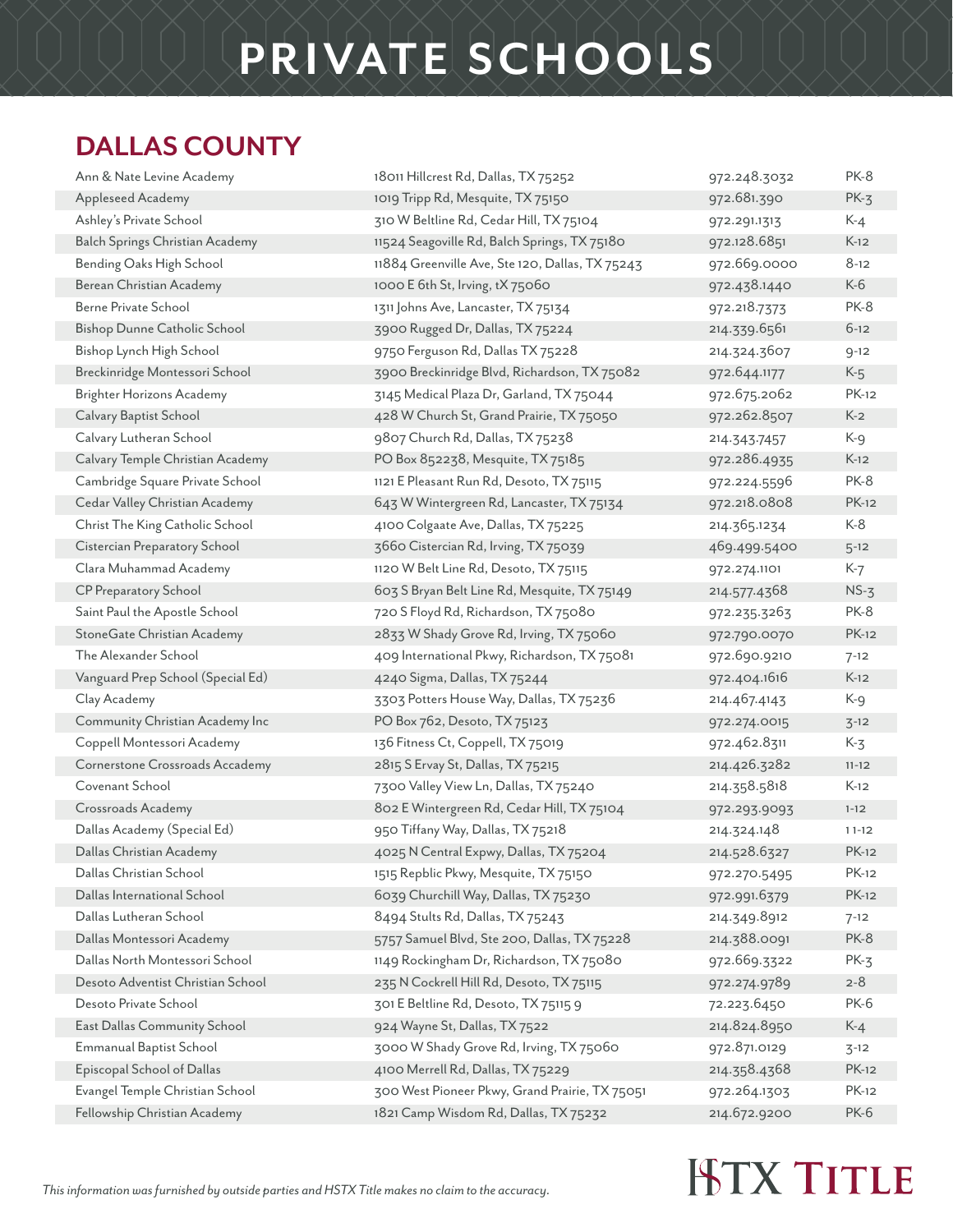#### **DALLAS COUNTY**

| Ann & Nate Levine Academy         | 18011 Hillcrest Rd, Dallas, TX 75252            | 972.248.3032 | PK-8         |
|-----------------------------------|-------------------------------------------------|--------------|--------------|
| Appleseed Academy                 | 1019 Tripp Rd, Mesquite, TX 75150               | 972.681.390  | $PK-3$       |
| Ashley's Private School           | 310 W Beltline Rd, Cedar Hill, TX 75104         | 972.291.1313 | K-4          |
| Balch Springs Christian Academy   | 11524 Seagoville Rd, Balch Springs, TX 75180    | 972.128.6851 | $K-12$       |
| Bending Oaks High School          | 11884 Greenville Ave, Ste 120, Dallas, TX 75243 | 972.669.0000 | $8 - 12$     |
| Berean Christian Academy          | 1000 E 6th St, Irving, tX 75060                 | 972.438.1440 | K-6          |
| Berne Private School              | 1311 Johns Ave, Lancaster, TX 75134             | 972.218.7373 | PK-8         |
| Bishop Dunne Catholic School      | 3900 Rugged Dr, Dallas, TX 75224                | 214.339.6561 | $6 - 12$     |
| Bishop Lynch High School          | 9750 Ferguson Rd, Dallas TX 75228               | 214.324.3607 | $9 - 12$     |
| Breckinridge Montessori School    | 3900 Breckinridge Blvd, Richardson, TX 75082    | 972.644.1177 | $K-5$        |
| <b>Brighter Horizons Academy</b>  | 3145 Medical Plaza Dr, Garland, TX 75044        | 972.675.2062 | PK-12        |
| Calvary Baptist School            | 428 W Church St, Grand Prairie, TX 75050        | 972.262.8507 | $K-2$        |
| Calvary Lutheran School           | 9807 Church Rd, Dallas, TX 75238                | 214.343.7457 | K-9          |
| Calvary Temple Christian Academy  | PO Box 852238, Mesquite, TX 75185               | 972.286.4935 | $K-12$       |
| Cambridge Square Private School   | 1121 E Pleasant Run Rd, Desoto, TX 75115        | 972.224.5596 | PK-8         |
| Cedar Valley Christian Academy    | 643 W Wintergreen Rd, Lancaster, TX 75134       | 972.218.0808 | <b>PK-12</b> |
| Christ The King Catholic School   | 4100 Colgaate Ave, Dallas, TX 75225             | 214.365.1234 | K-8          |
| Cistercian Preparatory School     | 3660 Cistercian Rd, Irving, TX 75039            | 469.499.5400 | $5 - 12$     |
| Clara Muhammad Academy            | 1120 W Belt Line Rd, Desoto, TX 75115           | 972.274.1101 | K-7          |
| CP Preparatory School             | 603 S Bryan Belt Line Rd, Mesquite, TX 75149    | 214.577.4368 | $NS-3$       |
| Saint Paul the Apostle School     | 720 S Floyd Rd, Richardson, TX 75080            | 972.235.3263 | PK-8         |
| StoneGate Christian Academy       | 2833 W Shady Grove Rd, Irving, TX 75060         | 972.790.0070 | <b>PK-12</b> |
| The Alexander School              | 409 International Pkwy, Richardson, TX 75081    | 972.690.9210 | $7 - 12$     |
| Vanguard Prep School (Special Ed) | 4240 Sigma, Dallas, TX 75244                    | 972.404.1616 | $K-12$       |
| Clay Academy                      | 3303 Potters House Way, Dallas, TX 75236        | 214.467.4143 | K-9          |
| Community Christian Academy Inc   | PO Box 762, Desoto, TX 75123                    | 972.274.0015 | $3 - 12$     |
| Coppell Montessori Academy        | 136 Fitness Ct, Coppell, TX 75019               | 972.462.8311 | K-3          |
| Cornerstone Crossroads Accademy   | 2815 S Ervay St, Dallas, TX 75215               | 214.426.3282 | $11 - 12$    |
| Covenant School                   | 7300 Valley View Ln, Dallas, TX 75240           | 214.358.5818 | $K-12$       |
| Crossroads Academy                | 802 E Wintergreen Rd, Cedar Hill, TX 75104      | 972.293.9093 | $1 - 12$     |
| Dallas Academy (Special Ed)       | 950 Tiffany Way, Dallas, TX 75218               | 214.324.148  | $11-12$      |
| Dallas Christian Academy          | 4025 N Central Expwy, Dallas, TX 75204          | 214.528.6327 | <b>PK-12</b> |
| Dallas Christian School           | 1515 Repblic Pkwy, Mesquite, TX 75150           | 972.270.5495 | <b>PK-12</b> |
| Dallas International School       | 6039 Churchill Way, Dallas, TX 75230            | 972.991.6379 | <b>PK-12</b> |
| Dallas Lutheran School            | 8494 Stults Rd, Dallas, TX 75243                | 214.349.8912 | $7 - 12$     |
| Dallas Montessori Academy         | 5757 Samuel Blvd, Ste 200, Dallas, TX 75228     | 214.388.0091 | <b>PK-8</b>  |
| Dallas North Montessori School    | 1149 Rockingham Dr, Richardson, TX 75080        | 972.669.3322 | $PK-3$       |
| Desoto Adventist Christian School | 235 N Cockrell Hill Rd, Desoto, TX 75115        | 972.274.9789 | $2 - 8$      |
| Desoto Private School             | 301 E Beltline Rd, Desoto, TX 75115 9           | 72.223.6450  | <b>PK-6</b>  |
| East Dallas Community School      | 924 Wayne St, Dallas, TX 7522                   | 214.824.8950 | $K-4$        |
| <b>Emmanual Baptist School</b>    | 3000 W Shady Grove Rd, Irving, TX 75060         | 972.871.0129 | $3 - 12$     |
| Episcopal School of Dallas        | 4100 Merrell Rd, Dallas, TX 75229               | 214.358.4368 | <b>PK-12</b> |
| Evangel Temple Christian School   | 300 West Pioneer Pkwy, Grand Prairie, TX 75051  | 972.264.1303 | <b>PK-12</b> |
| Fellowship Christian Academy      |                                                 | 214.672.9200 | PK-6         |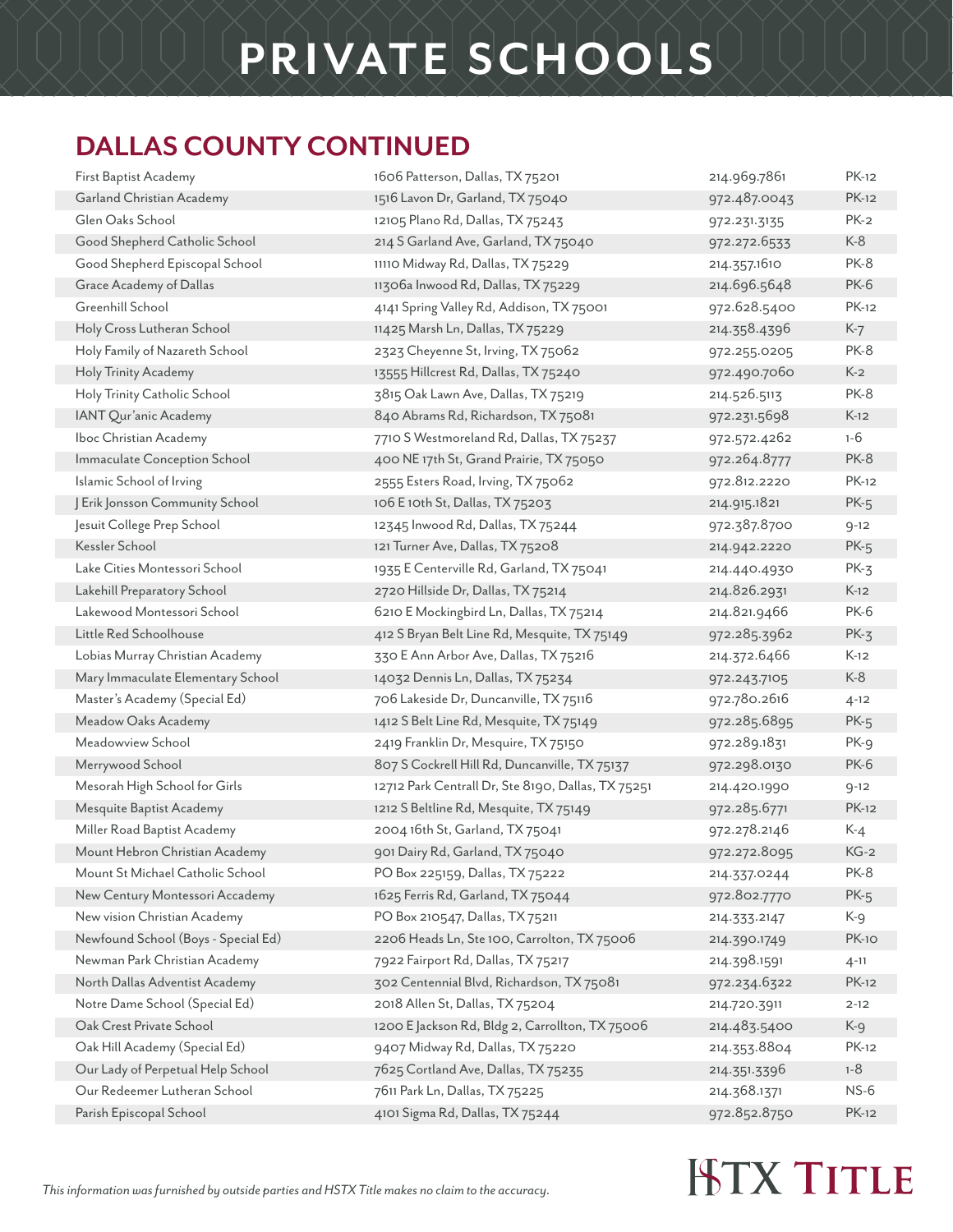#### **DALLAS COUNTY CONTINUED**

| First Baptist Academy               | 1606 Patterson, Dallas, TX 75201                   | 214.969.7861 | <b>PK-12</b> |
|-------------------------------------|----------------------------------------------------|--------------|--------------|
| Garland Christian Academy           | 1516 Lavon Dr, Garland, TX 75040                   | 972.487.0043 | <b>PK-12</b> |
| Glen Oaks School                    | 12105 Plano Rd, Dallas, TX 75243                   | 972.231.3135 | $PK-2$       |
| Good Shepherd Catholic School       | 214 S Garland Ave, Garland, TX 75040               | 972.272.6533 | $K-8$        |
| Good Shepherd Episcopal School      | 11110 Midway Rd, Dallas, TX 75229                  | 214.357.1610 | <b>PK-8</b>  |
| Grace Academy of Dallas             | 11306a Inwood Rd, Dallas, TX 75229                 | 214.696.5648 | <b>PK-6</b>  |
| Greenhill School                    | 4141 Spring Valley Rd, Addison, TX 75001           | 972.628.5400 | <b>PK-12</b> |
| Holy Cross Lutheran School          | 11425 Marsh Ln, Dallas, TX 75229                   | 214.358.4396 | $K-7$        |
| Holy Family of Nazareth School      | 2323 Cheyenne St, Irving, TX 75062                 | 972.255.0205 | PK-8         |
| Holy Trinity Academy                | 13555 Hillcrest Rd, Dallas, TX 75240               | 972.490.7060 | $K-2$        |
| Holy Trinity Catholic School        | 3815 Oak Lawn Ave, Dallas, TX 75219                | 214.526.5113 | <b>PK-8</b>  |
| IANT Qur'anic Academy               | 840 Abrams Rd, Richardson, TX 75081                | 972.231.5698 | $K-12$       |
| Iboc Christian Academy              | 7710 S Westmoreland Rd, Dallas, TX 75237           | 972.572.4262 | $1 - 6$      |
| Immaculate Conception School        | 400 NE 17th St, Grand Prairie, TX 75050            | 972.264.8777 | PK-8         |
| Islamic School of Irving            | 2555 Esters Road, Irving, TX 75062                 | 972.812.2220 | <b>PK-12</b> |
| J Erik Jonsson Community School     | 106 E 10th St, Dallas, TX 75203                    | 214.915.1821 | $PK-5$       |
| Jesuit College Prep School          | 12345 Inwood Rd, Dallas, TX 75244                  | 972.387.8700 | $9 - 12$     |
| Kessler School                      | 121 Turner Ave, Dallas, TX 75208                   | 214.942.2220 | $PK-5$       |
| Lake Cities Montessori School       | 1935 E Centerville Rd, Garland, TX 75041           | 214.440.4930 | $PK-3$       |
| Lakehill Preparatory School         | 2720 Hillside Dr, Dallas, TX 75214                 | 214.826.2931 | $K-12$       |
| Lakewood Montessori School          | 6210 E Mockingbird Ln, Dallas, TX 75214            | 214.821.9466 | PK-6         |
| Little Red Schoolhouse              | 412 S Bryan Belt Line Rd, Mesquite, TX 75149       | 972.285.3962 | $PK-3$       |
| Lobias Murray Christian Academy     | 330 E Ann Arbor Ave, Dallas, TX 75216              | 214.372.6466 | $K-12$       |
| Mary Immaculate Elementary School   | 14032 Dennis Ln, Dallas, TX 75234                  | 972.243.7105 | $K-8$        |
| Master's Academy (Special Ed)       | 706 Lakeside Dr, Duncanville, TX 75116             | 972.780.2616 | $4 - 12$     |
| Meadow Oaks Academy                 | 1412 S Belt Line Rd, Mesquite, TX 75149            | 972.285.6895 | $PK-5$       |
| Meadowview School                   | 2419 Franklin Dr, Mesquire, TX 75150               | 972.289.1831 | PK-9         |
| Merrywood School                    | 807 S Cockrell Hill Rd, Duncanville, TX 75137      | 972.298.0130 | <b>PK-6</b>  |
| Mesorah High School for Girls       | 12712 Park Centrall Dr, Ste 8190, Dallas, TX 75251 | 214.420.1990 | $9 - 12$     |
| Mesquite Baptist Academy            | 1212 S Beltline Rd, Mesquite, TX 75149             | 972.285.6771 | <b>PK-12</b> |
| Miller Road Baptist Academy         | 2004 16th St, Garland, TX 75041                    | 972.278.2146 | $K-4$        |
| Mount Hebron Christian Academy      | 901 Dairy Rd, Garland, TX 75040                    | 972.272.8095 | $KG-2$       |
| Mount St Michael Catholic School    | PO Box 225159, Dallas, TX 75222                    | 214.337.0244 | PK-8         |
| New Century Montessori Accademy     | 1625 Ferris Rd, Garland, TX 75044                  | 972.802.7770 | $PK-5$       |
| New vision Christian Academy        | PO Box 210547, Dallas, TX 75211                    | 214.333.2147 | K-9          |
| Newfound School (Boys - Special Ed) | 2206 Heads Ln, Ste 100, Carrolton, TX 75006        | 214.390.1749 | <b>PK-10</b> |
| Newman Park Christian Academy       | 7922 Fairport Rd, Dallas, TX 75217                 | 214.398.1591 | $4 - 11$     |
| North Dallas Adventist Academy      | 302 Centennial Blvd, Richardson, TX 75081          | 972.234.6322 | <b>PK-12</b> |
| Notre Dame School (Special Ed)      | 2018 Allen St, Dallas, TX 75204                    | 214.720.3911 | $2 - 12$     |
| Oak Crest Private School            | 1200 E Jackson Rd, Bldg 2, Carrollton, TX 75006    | 214.483.5400 | K-9          |
| Oak Hill Academy (Special Ed)       | 9407 Midway Rd, Dallas, TX 75220                   | 214.353.8804 | PK-12        |
| Our Lady of Perpetual Help School   | 7625 Cortland Ave, Dallas, TX 75235                | 214.351.3396 | $1 - 8$      |
| Our Redeemer Lutheran School        | 7611 Park Ln, Dallas, TX 75225                     | 214.368.1371 | $NS-6$       |
| Parish Episcopal School             | 4101 Sigma Rd, Dallas, TX 75244                    | 972.852.8750 | <b>PK-12</b> |
|                                     |                                                    |              |              |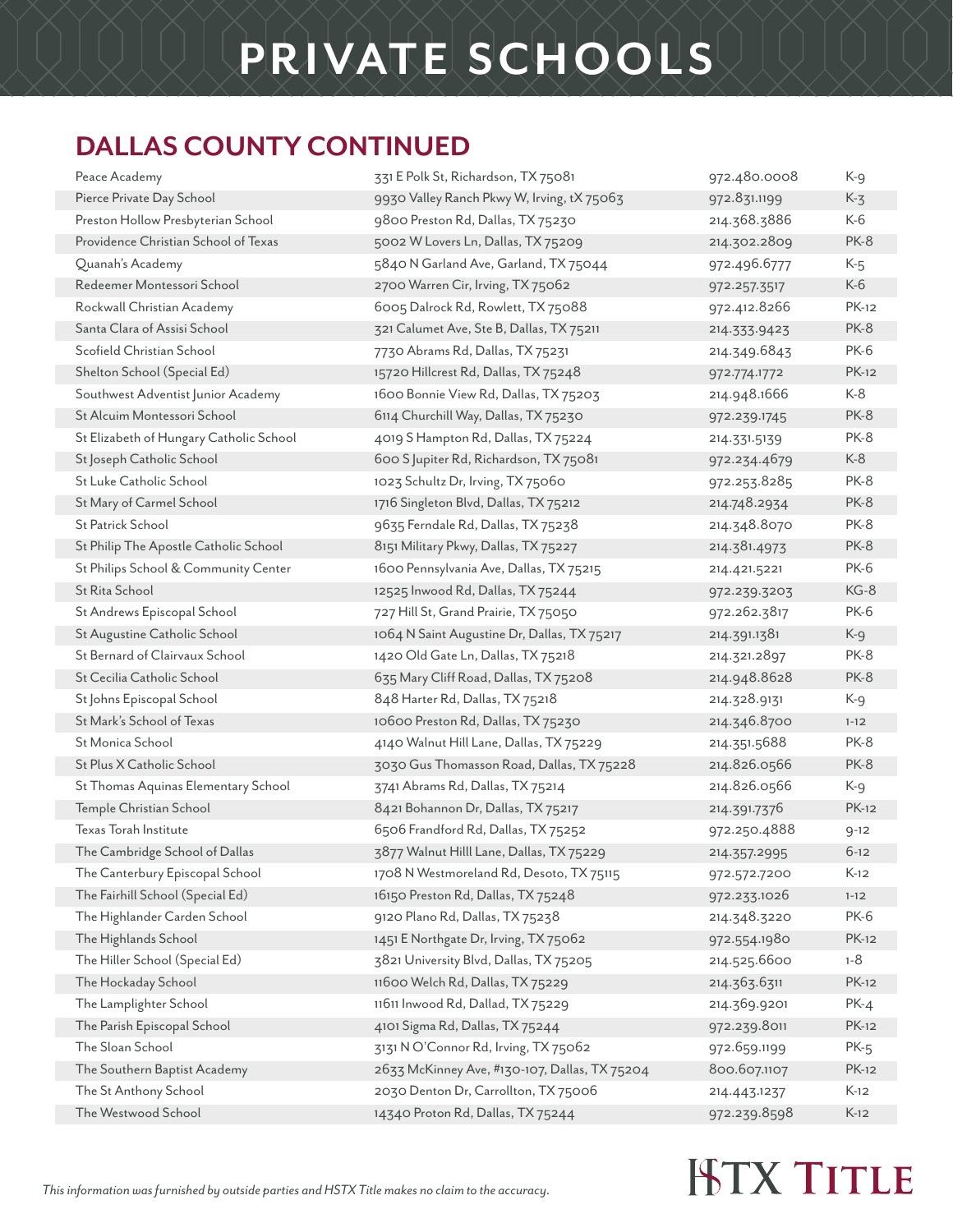#### **DALLAS COUNTY CONTINUED**

| Peace Academy                           | 331 E Polk St, Richardson, TX 75081           | 972.480.0008 | $K-9$        |
|-----------------------------------------|-----------------------------------------------|--------------|--------------|
| Pierce Private Day School               | 9930 Valley Ranch Pkwy W, Irving, tX 75063    | 972.831.1199 | $K-3$        |
| Preston Hollow Presbyterian School      | 9800 Preston Rd, Dallas, TX 75230             | 214.368.3886 | K-6          |
| Providence Christian School of Texas    | 5002 W Lovers Ln, Dallas, TX 75209            | 214.302.2809 | PK-8         |
| Quanah's Academy                        | 5840 N Garland Ave, Garland, TX 75044         | 972.496.6777 | $K-5$        |
| Redeemer Montessori School              | 2700 Warren Cir, Irving, TX 75062             | 972.257.3517 | $K-6$        |
| Rockwall Christian Academy              | 6005 Dalrock Rd, Rowlett, TX 75088            | 972.412.8266 | <b>PK-12</b> |
| Santa Clara of Assisi School            | 321 Calumet Ave, Ste B, Dallas, TX 75211      | 214.333.9423 | PK-8         |
| Scofield Christian School               | 7730 Abrams Rd, Dallas, TX 75231              | 214.349.6843 | <b>PK-6</b>  |
| Shelton School (Special Ed)             | 15720 Hillcrest Rd, Dallas, TX 75248          | 972.774.1772 | <b>PK-12</b> |
| Southwest Adventist Junior Academy      | 1600 Bonnie View Rd, Dallas, TX 75203         | 214.948.1666 | $K-8$        |
| St Alcuim Montessori School             | 6114 Churchill Way, Dallas, TX 75230          | 972.239.1745 | PK-8         |
| St Elizabeth of Hungary Catholic School | 4019 S Hampton Rd, Dallas, TX 75224           | 214.331.5139 | PK-8         |
| St Joseph Catholic School               | 600 S Jupiter Rd, Richardson, TX 75081        | 972.234.4679 | $K-8$        |
| St Luke Catholic School                 | 1023 Schultz Dr, Irving, TX 75060             | 972.253.8285 | PK-8         |
| St Mary of Carmel School                | 1716 Singleton Blvd, Dallas, TX 75212         | 214.748.2934 | PK-8         |
| St Patrick School                       | 9635 Ferndale Rd, Dallas, TX 75238            | 214.348.8070 | PK-8         |
| St Philip The Apostle Catholic School   | 8151 Military Pkwy, Dallas, TX 75227          | 214.381.4973 | PK-8         |
| St Philips School & Community Center    | 1600 Pennsylvania Ave, Dallas, TX 75215       | 214.421.5221 | PK-6         |
| St Rita School                          | 12525 Inwood Rd, Dallas, TX 75244             | 972.239.3203 | $KG-8$       |
| St Andrews Episcopal School             | 727 Hill St, Grand Prairie, TX 75050          | 972.262.3817 | <b>PK-6</b>  |
| St Augustine Catholic School            | 1064 N Saint Augustine Dr, Dallas, TX 75217   | 214.391.1381 | K-9          |
| St Bernard of Clairvaux School          | 1420 Old Gate Ln, Dallas, TX 75218            | 214.321.2897 | <b>PK-8</b>  |
| St Cecilia Catholic School              | 635 Mary Cliff Road, Dallas, TX 75208         | 214.948.8628 | PK-8         |
| St Johns Episcopal School               | 848 Harter Rd, Dallas, TX 75218               | 214.328.9131 | K-9          |
| St Mark's School of Texas               | 10600 Preston Rd, Dallas, TX 75230            | 214.346.8700 | $1 - 12$     |
| St Monica School                        | 4140 Walnut Hill Lane, Dallas, TX 75229       | 214.351.5688 | <b>PK-8</b>  |
| St Plus X Catholic School               | 3030 Gus Thomasson Road, Dallas, TX 75228     | 214.826.0566 | PK-8         |
| St Thomas Aquinas Elementary School     | 3741 Abrams Rd, Dallas, TX 75214              | 214.826.0566 | K-9          |
| Temple Christian School                 | 8421 Bohannon Dr, Dallas, TX 75217            | 214.391.7376 | <b>PK-12</b> |
| Texas Torah Institute                   | 6506 Frandford Rd, Dallas, TX 75252           | 972.250.4888 | $9 - 12$     |
| The Cambridge School of Dallas          | 3877 Walnut Hilll Lane, Dallas, TX 75229      | 214.357.2995 | $6-12$       |
| The Canterbury Episcopal School         | 1708 N Westmoreland Rd, Desoto, TX 75115      | 972.572.7200 | $K-12$       |
| The Fairhill School (Special Ed)        | 16150 Preston Rd, Dallas, TX 75248            | 972.233.1026 | $1 - 12$     |
| The Highlander Carden School            | 9120 Plano Rd, Dallas, TX 75238               | 214.348.3220 | <b>PK-6</b>  |
| The Highlands School                    | 1451 E Northgate Dr, Irving, TX 75062         | 972.554.1980 | <b>PK-12</b> |
| The Hiller School (Special Ed)          | 3821 University Blvd, Dallas, TX 75205        | 214.525.6600 | $1 - 8$      |
| The Hockaday School                     | 11600 Welch Rd, Dallas, TX 75229              | 214.363.6311 | <b>PK-12</b> |
| The Lamplighter School                  | 11611 Inwood Rd, Dallad, TX 75229             | 214.369.9201 | $PK-4$       |
| The Parish Episcopal School             | 4101 Sigma Rd, Dallas, TX 75244               | 972.239.8011 | <b>PK-12</b> |
| The Sloan School                        | 3131 N O'Connor Rd, Irving, TX 75062          | 972.659.1199 | $PK-5$       |
| The Southern Baptist Academy            | 2633 McKinney Ave, #130-107, Dallas, TX 75204 | 800.607.1107 | <b>PK-12</b> |
| The St Anthony School                   | 2030 Denton Dr, Carrollton, TX 75006          | 214.443.1237 | $K-12$       |
| The Westwood School                     | 14340 Proton Rd, Dallas, TX 75244             | 972.239.8598 | $K-12$       |
|                                         |                                               |              |              |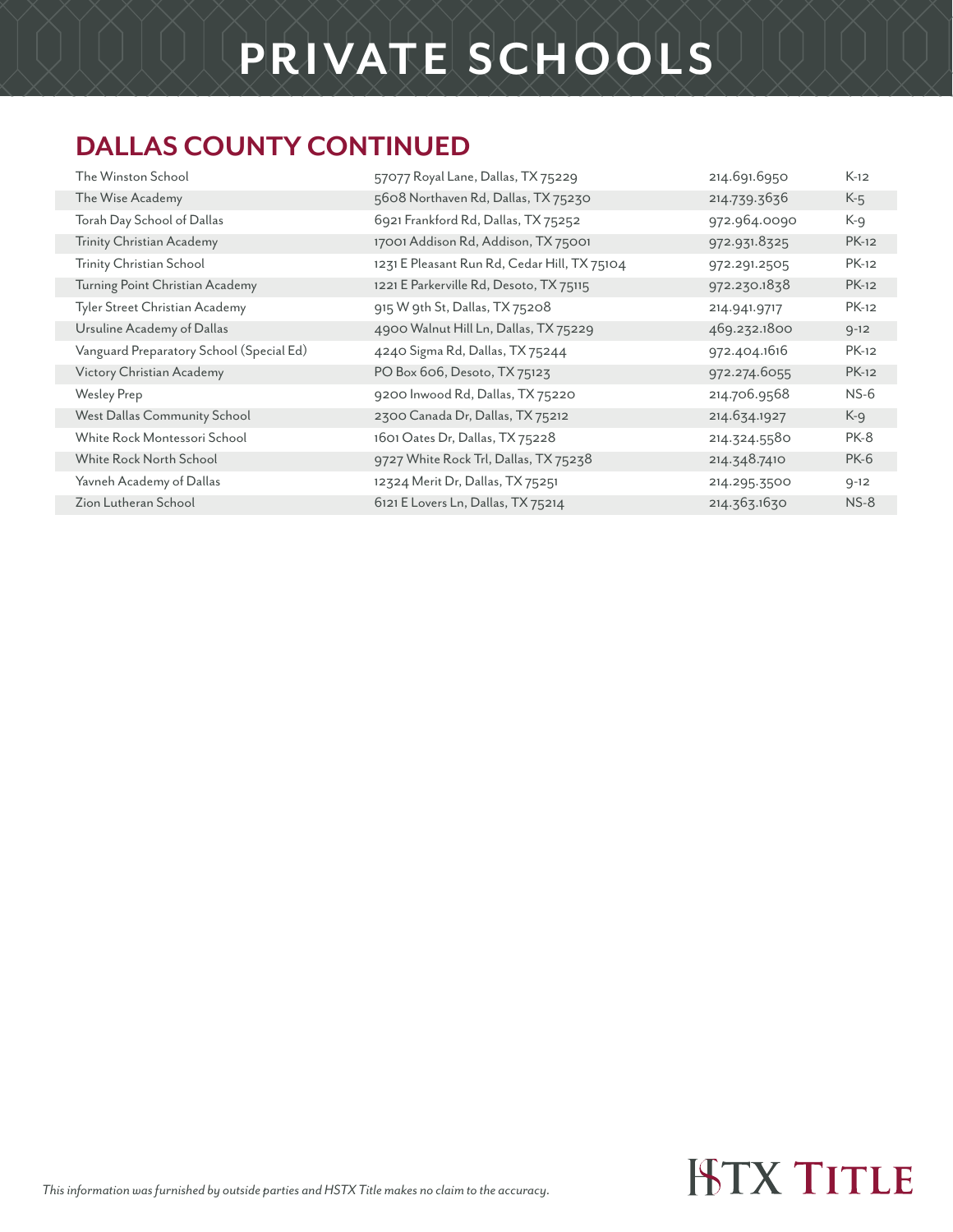#### **DALLAS COUNTY CONTINUED**

| The Winston School                       | 57077 Royal Lane, Dallas, TX 75229           | 214.691.6950 | $K-12$       |
|------------------------------------------|----------------------------------------------|--------------|--------------|
| The Wise Academy                         | 5608 Northaven Rd, Dallas, TX 75230          | 214.739.3636 | $K-5$        |
| Torah Day School of Dallas               | 6921 Frankford Rd, Dallas, TX 75252          | 972.964.0090 | K-g          |
| Trinity Christian Academy                | 17001 Addison Rd, Addison, TX 75001          | 972.931.8325 | $PK-12$      |
| Trinity Christian School                 | 1231 E Pleasant Run Rd, Cedar Hill, TX 75104 | 972.291.2505 | PK-12        |
| Turning Point Christian Academy          | 1221 E Parkerville Rd, Desoto, TX 75115      | 972.230.1838 | <b>PK-12</b> |
| Tyler Street Christian Academy           | 915 W 9th St, Dallas, TX 75208               | 214.941.9717 | <b>PK-12</b> |
| Ursuline Academy of Dallas               | 4900 Walnut Hill Ln, Dallas, TX 75229        | 469.232.1800 | $9 - 12$     |
| Vanguard Preparatory School (Special Ed) | 4240 Sigma Rd, Dallas, TX 75244              | 972.404.1616 | PK-12        |
| Victory Christian Academy                | PO Box 606, Desoto, TX 75123                 | 972.274.6055 | <b>PK-12</b> |
| <b>Wesley Prep</b>                       | 9200 Inwood Rd, Dallas, TX 75220             | 214.706.9568 | $NS-6$       |
| West Dallas Community School             | 2300 Canada Dr, Dallas, TX 75212             | 214.634.1927 | K-9          |
| White Rock Montessori School             | 1601 Oates Dr, Dallas, TX 75228              | 214.324.5580 | PK-8         |
| White Rock North School                  | 9727 White Rock Trl, Dallas, TX 75238        | 214.348.7410 | <b>PK-6</b>  |
| Yavneh Academy of Dallas                 | 12324 Merit Dr, Dallas, TX 75251             | 214.295.3500 | $9 - 12$     |
| Zion Lutheran School                     | 6121 E Lovers Ln, Dallas, TX 75214           | 214.363.1630 | $NS-8$       |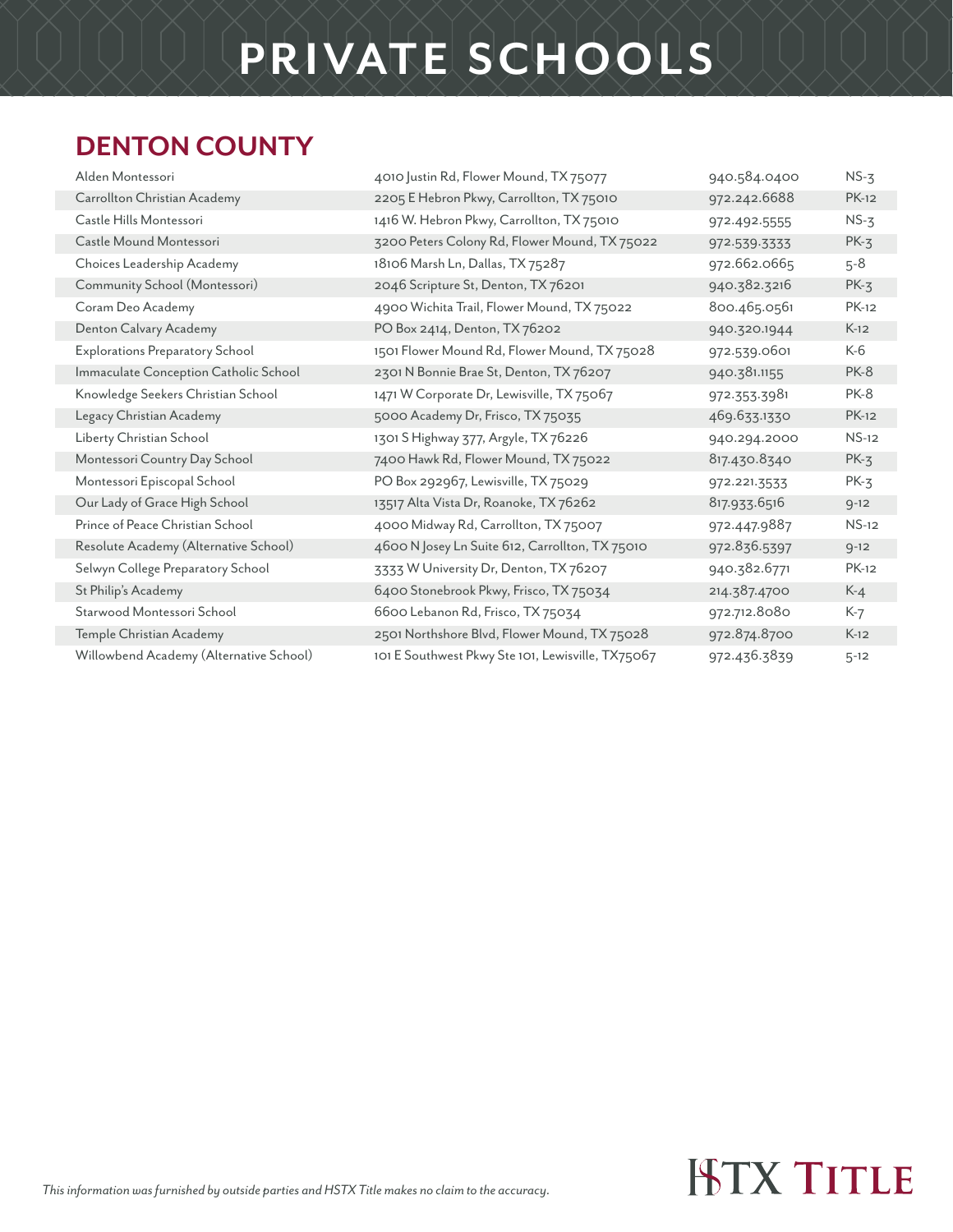#### **DENTON COUNTY**

| 4010 Justin Rd, Flower Mound, TX 75077            | 940.584.0400 | $NS-3$       |
|---------------------------------------------------|--------------|--------------|
| 2205 E Hebron Pkwy, Carrollton, TX 75010          | 972.242.6688 | <b>PK-12</b> |
| 1416 W. Hebron Pkwy, Carrollton, TX 75010         | 972.492.5555 | $NS-3$       |
| 3200 Peters Colony Rd, Flower Mound, TX 75022     | 972.539.3333 | $PK-3$       |
| 18106 Marsh Ln, Dallas, TX 75287                  | 972.662.0665 | $5 - 8$      |
| 2046 Scripture St, Denton, TX 76201               | 940.382.3216 | $PK-3$       |
| 4900 Wichita Trail, Flower Mound, TX 75022        | 800.465.0561 | <b>PK-12</b> |
| PO Box 2414, Denton, TX 76202                     | 940.320.1944 | $K-12$       |
| 1501 Flower Mound Rd, Flower Mound, TX 75028      | 972.539.0601 | K-6          |
| 2301 N Bonnie Brae St, Denton, TX 76207           | 940.381.1155 | <b>PK-8</b>  |
| 1471 W Corporate Dr, Lewisville, TX 75067         | 972.353.3981 | <b>PK-8</b>  |
| 5000 Academy Dr, Frisco, TX 75035                 | 469.633.1330 | <b>PK-12</b> |
| 1301 S Highway 377, Argyle, TX 76226              | 940.294.2000 | $NS-12$      |
| 7400 Hawk Rd, Flower Mound, TX 75022              | 817.430.8340 | $PK-3$       |
| PO Box 292967, Lewisville, TX 75029               | 972.221.3533 | $PK-3$       |
| 13517 Alta Vista Dr, Roanoke, TX 76262            | 817.933.6516 | $9 - 12$     |
| 4000 Midway Rd, Carrollton, TX 75007              | 972.447.9887 | $NS-12$      |
| 4600 N Josey Ln Suite 612, Carrollton, TX 75010   | 972.836.5397 | $9 - 12$     |
| 3333 W University Dr, Denton, TX 76207            | 940.382.6771 | <b>PK-12</b> |
| 6400 Stonebrook Pkwy, Frisco, TX 75034            | 214.387.4700 | $K-4$        |
| 6600 Lebanon Rd, Frisco, TX 75034                 | 972.712.8080 | K-7          |
| 2501 Northshore Blvd, Flower Mound, TX 75028      | 972.874.8700 | $K-12$       |
| 101 E Southwest Pkwy Ste 101, Lewisville, TX75067 | 972.436.3839 | $5 - 12$     |
|                                                   |              |              |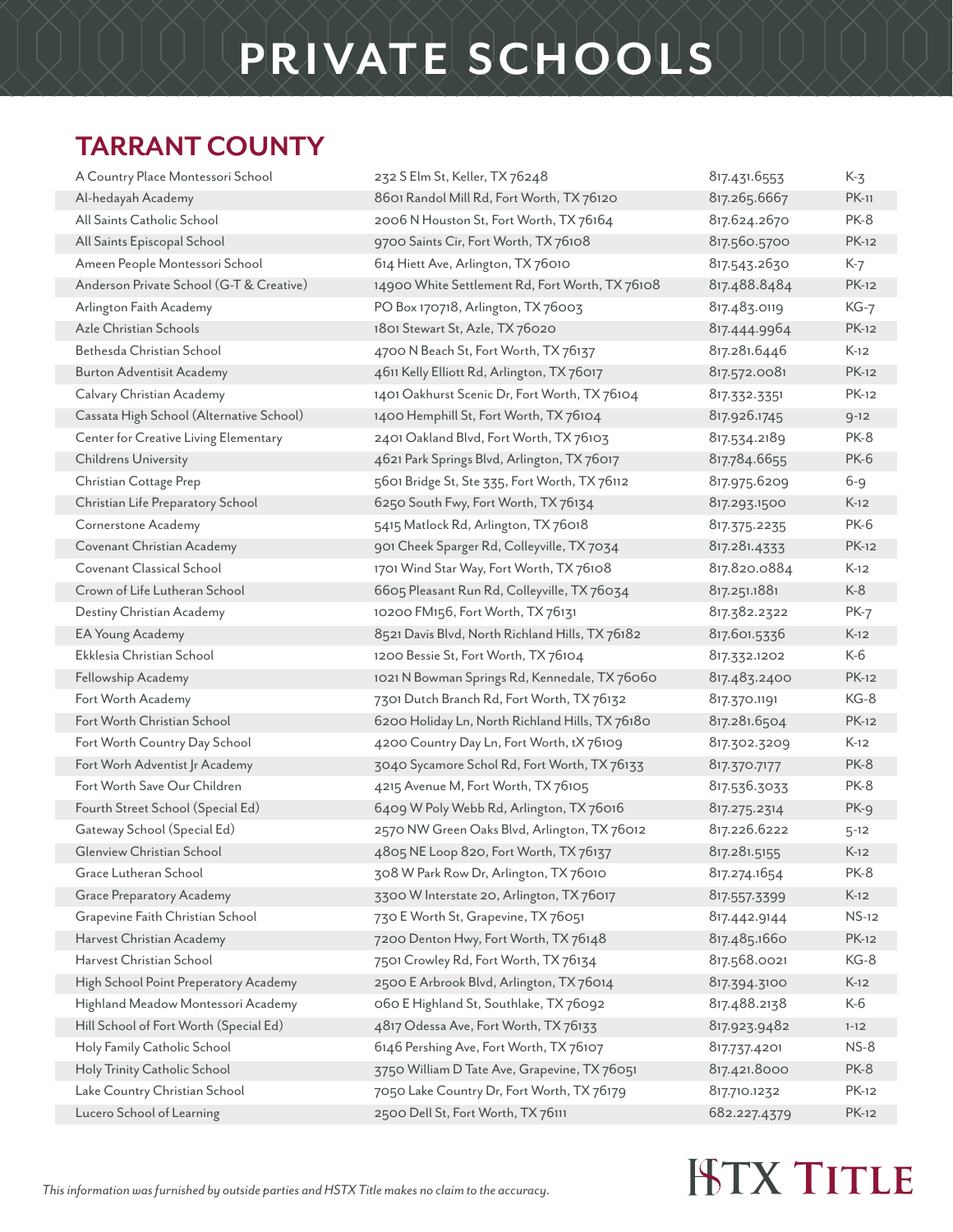#### **TARRANT COUNTY**

| A Country Place Montessori School        | 232 S Elm St, Keller, TX 76248                  | 817.431.6553 | $K-3$        |
|------------------------------------------|-------------------------------------------------|--------------|--------------|
| Al-hedayah Academy                       | 8601 Randol Mill Rd, Fort Worth, TX 76120       | 817.265.6667 | <b>PK-11</b> |
| All Saints Catholic School               | 2006 N Houston St, Fort Worth, TX 76164         | 817.624.2670 | PK-8         |
| All Saints Episcopal School              | 9700 Saints Cir, Fort Worth, TX 76108           | 817.560.5700 | <b>PK-12</b> |
| Ameen People Montessori School           | 614 Hiett Ave, Arlington, TX 76010              | 817.543.2630 | $K-7$        |
| Anderson Private School (G-T & Creative) | 14900 White Settlement Rd, Fort Worth, TX 76108 | 817.488.8484 | <b>PK-12</b> |
| Arlington Faith Academy                  | PO Box 170718, Arlington, TX 76003              | 817.483.0119 | $KG-7$       |
| Azle Christian Schools                   | 1801 Stewart St, Azle, TX 76020                 | 817.444.9964 | <b>PK-12</b> |
| Bethesda Christian School                | 4700 N Beach St, Fort Worth, TX 76137           | 817.281.6446 | $K-12$       |
| <b>Burton Adventisit Academy</b>         | 4611 Kelly Elliott Rd, Arlington, TX 76017      | 817.572.0081 | <b>PK-12</b> |
| Calvary Christian Academy                | 1401 Oakhurst Scenic Dr, Fort Worth, TX 76104   | 817.332.3351 | PK-12        |
| Cassata High School (Alternative School) | 1400 Hemphill St, Fort Worth, TX 76104          | 817.926.1745 | $9 - 12$     |
| Center for Creative Living Elementary    | 2401 Oakland Blvd, Fort Worth, TX 76103         | 817.534.2189 | PK-8         |
| Childrens University                     | 4621 Park Springs Blvd, Arlington, TX 76017     | 817.784.6655 | <b>PK-6</b>  |
| Christian Cottage Prep                   | 5601 Bridge St, Ste 335, Fort Worth, TX 76112   | 817.975.6209 | 6-9          |
| Christian Life Preparatory School        | 6250 South Fwy, Fort Worth, TX 76134            | 817.293.1500 | $K-12$       |
| Cornerstone Academy                      | 5415 Matlock Rd, Arlington, TX 76018            | 817.375.2235 | PK-6         |
| Covenant Christian Academy               | 901 Cheek Sparger Rd, Colleyville, TX 7034      | 817.281.4333 | <b>PK-12</b> |
| Covenant Classical School                | 1701 Wind Star Way, Fort Worth, TX 76108        | 817.820.0884 | $K-12$       |
| Crown of Life Lutheran School            | 6605 Pleasant Run Rd, Colleyville, TX 76034     | 817.251.1881 | $K-8$        |
| Destiny Christian Academy                | 10200 FM156, Fort Worth, TX 76131               | 817.382.2322 | $PK-7$       |
| EA Young Academy                         | 8521 Davis Blvd, North Richland Hills, TX 76182 | 817.601.5336 | $K-12$       |
| Ekklesia Christian School                | 1200 Bessie St, Fort Worth, TX 76104            | 817.332.1202 | K-6          |
| Fellowship Academy                       | 1021 N Bowman Springs Rd, Kennedale, TX 76060   | 817.483.2400 | <b>PK-12</b> |
| Fort Worth Academy                       | 7301 Dutch Branch Rd, Fort Worth, TX 76132      | 817.370.1191 | KG-8         |
| Fort Worth Christian School              | 6200 Holiday Ln, North Richland Hills, TX 76180 | 817.281.6504 | <b>PK-12</b> |
| Fort Worth Country Day School            | 4200 Country Day Ln, Fort Worth, tX 76109       | 817.302.3209 | $K-12$       |
| Fort Worh Adventist Jr Academy           | 3040 Sycamore Schol Rd, Fort Worth, TX 76133    | 817.370.7177 | PK-8         |
| Fort Worth Save Our Children             | 4215 Avenue M, Fort Worth, TX 76105             | 817.536.3033 | PK-8         |
| Fourth Street School (Special Ed)        | 6409 W Poly Webb Rd, Arlington, TX 76016        | 817.275.2314 | $PK-9$       |
| Gateway School (Special Ed)              | 2570 NW Green Oaks Blvd, Arlington, TX 76012    | 817.226.6222 | $5 - 12$     |
| Glenview Christian School                | 4805 NE Loop 820, Fort Worth, TX 76137          | 817.281.5155 | $K-12$       |
| Grace Lutheran School                    | 308 W Park Row Dr, Arlington, TX 76010          | 817.274.1654 | PK-8         |
| <b>Grace Preparatory Academy</b>         | 3300 W Interstate 20, Arlington, TX 76017       | 817.557.3399 | $K-12$       |
| Grapevine Faith Christian School         | 730 E Worth St, Grapevine, TX 76051             | 817.442.9144 | $NS-12$      |
| Harvest Christian Academy                | 7200 Denton Hwy, Fort Worth, TX 76148           | 817.485.1660 | <b>PK-12</b> |
| Harvest Christian School                 | 7501 Crowley Rd, Fort Worth, TX 76134           | 817.568.0021 | KG-8         |
| High School Point Preperatory Academy    | 2500 E Arbrook Blvd, Arlington, TX 76014        | 817.394.3100 | $K-12$       |
| Highland Meadow Montessori Academy       | 060 E Highland St, Southlake, TX 76092          | 817.488.2138 | $K-6$        |
| Hill School of Fort Worth (Special Ed)   | 4817 Odessa Ave, Fort Worth, TX 76133           | 817.923.9482 | $1 - 12$     |
| Holy Family Catholic School              | 6146 Pershing Ave, Fort Worth, TX 76107         | 817.737.4201 | $NS-8$       |
| Holy Trinity Catholic School             | 3750 William D Tate Ave, Grapevine, TX 76051    | 817.421.8000 | PK-8         |
| Lake Country Christian School            | 7050 Lake Country Dr, Fort Worth, TX 76179      | 817.710.1232 | <b>PK-12</b> |
| Lucero School of Learning                | 2500 Dell St, Fort Worth, TX 76111              | 682.227.4379 | <b>PK-12</b> |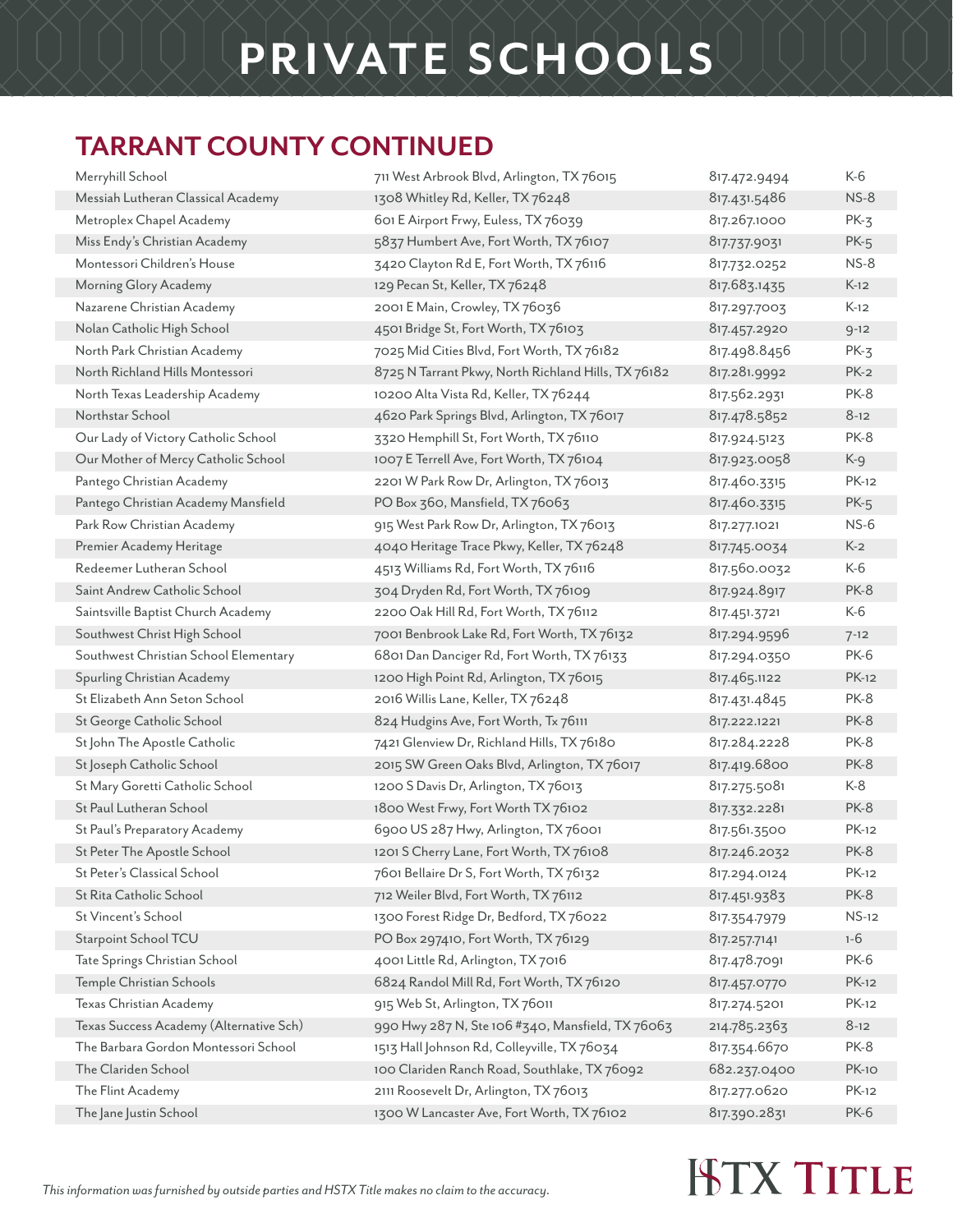#### **TARRANT COUNTY CONTINUED**

| Merryhill School                        | 711 West Arbrook Blvd, Arlington, TX 76015          | 817.472.9494 | K-6          |
|-----------------------------------------|-----------------------------------------------------|--------------|--------------|
| Messiah Lutheran Classical Academy      | 1308 Whitley Rd, Keller, TX 76248                   | 817.431.5486 | $NS-8$       |
| Metroplex Chapel Academy                | 601 E Airport Frwy, Euless, TX 76039                | 817.267.1000 | $PK-3$       |
| Miss Endy's Christian Academy           | 5837 Humbert Ave, Fort Worth, TX 76107              | 817.737.9031 | $PK-5$       |
| Montessori Children's House             | 3420 Clayton Rd E, Fort Worth, TX 76116             | 817.732.0252 | $NS-8$       |
| Morning Glory Academy                   | 129 Pecan St, Keller, TX 76248                      | 817.683.1435 | $K-12$       |
| Nazarene Christian Academy              | 2001 E Main, Crowley, TX 76036                      | 817.297.7003 | $K-12$       |
| Nolan Catholic High School              | 4501 Bridge St, Fort Worth, TX 76103                | 817.457.2920 | $9 - 12$     |
| North Park Christian Academy            | 7025 Mid Cities Blvd, Fort Worth, TX 76182          | 817.498.8456 | $PK-3$       |
| North Richland Hills Montessori         | 8725 N Tarrant Pkwy, North Richland Hills, TX 76182 | 817.281.9992 | $PK-2$       |
| North Texas Leadership Academy          | 10200 Alta Vista Rd, Keller, TX 76244               | 817.562.2931 | PK-8         |
| Northstar School                        | 4620 Park Springs Blvd, Arlington, TX 76017         | 817.478.5852 | $8-12$       |
| Our Lady of Victory Catholic School     | 3320 Hemphill St, Fort Worth, TX 76110              | 817.924.5123 | PK-8         |
| Our Mother of Mercy Catholic School     | 1007 E Terrell Ave, Fort Worth, TX 76104            | 817.923.0058 | K-9          |
| Pantego Christian Academy               | 2201 W Park Row Dr, Arlington, TX 76013             | 817.460.3315 | PK-12        |
| Pantego Christian Academy Mansfield     | PO Box 360, Mansfield, TX 76063                     | 817.460.3315 | $PK-5$       |
| Park Row Christian Academy              | 915 West Park Row Dr, Arlington, TX 76013           | 817.277.1021 | $NS-6$       |
| Premier Academy Heritage                | 4040 Heritage Trace Pkwy, Keller, TX 76248          | 817.745.0034 | $K-2$        |
| Redeemer Lutheran School                | 4513 Williams Rd, Fort Worth, TX 76116              | 817.560.0032 | K-6          |
| Saint Andrew Catholic School            | 304 Dryden Rd, Fort Worth, TX 76109                 | 817.924.8917 | PK-8         |
| Saintsville Baptist Church Academy      | 2200 Oak Hill Rd, Fort Worth, TX 76112              | 817.451.3721 | K-6          |
| Southwest Christ High School            | 7001 Benbrook Lake Rd, Fort Worth, TX 76132         | 817.294.9596 | $7 - 12$     |
| Southwest Christian School Elementary   | 6801 Dan Danciger Rd, Fort Worth, TX 76133          | 817.294.0350 | <b>PK-6</b>  |
| Spurling Christian Academy              | 1200 High Point Rd, Arlington, TX 76015             | 817.465.1122 | <b>PK-12</b> |
| St Elizabeth Ann Seton School           | 2016 Willis Lane, Keller, TX 76248                  | 817.431.4845 | PK-8         |
| St George Catholic School               | 824 Hudgins Ave, Fort Worth, Tx 76111               | 817.222.1221 | PK-8         |
| St John The Apostle Catholic            | 7421 Glenview Dr, Richland Hills, TX 76180          | 817.284.2228 | PK-8         |
| St Joseph Catholic School               | 2015 SW Green Oaks Blvd, Arlington, TX 76017        | 817.419.6800 | PK-8         |
| St Mary Goretti Catholic School         | 1200 S Davis Dr, Arlington, TX 76013                | 817.275.5081 | K-8          |
| St Paul Lutheran School                 | 1800 West Frwy, Fort Worth TX 76102                 | 817.332.2281 | <b>PK-8</b>  |
| St Paul's Preparatory Academy           | 6900 US 287 Hwy, Arlington, TX 76001                | 817.561.3500 | PK-12        |
| St Peter The Apostle School             | 1201 S Cherry Lane, Fort Worth, TX 76108            | 817.246.2032 | PK-8         |
| St Peter's Classical School             | 7601 Bellaire Dr S, Fort Worth, TX 76132            | 817.294.0124 | PK-12        |
| St Rita Catholic School                 | 712 Weiler Blvd, Fort Worth, TX 76112               | 817.451.9383 | PK-8         |
| St Vincent's School                     | 1300 Forest Ridge Dr, Bedford, TX 76022             | 817.354.7979 | $NS-12$      |
| Starpoint School TCU                    | PO Box 297410, Fort Worth, TX 76129                 | 817.257.7141 | $1 - 6$      |
| Tate Springs Christian School           | 4001 Little Rd, Arlington, TX 7016                  | 817.478.7091 | PK-6         |
| Temple Christian Schools                | 6824 Randol Mill Rd, Fort Worth, TX 76120           | 817.457.0770 | $PK-12$      |
| Texas Christian Academy                 | 915 Web St, Arlington, TX 76011                     | 817.274.5201 | PK-12        |
| Texas Success Academy (Alternative Sch) | 990 Hwy 287 N, Ste 106 #340, Mansfield, TX 76063    | 214.785.2363 | $8-12$       |
| The Barbara Gordon Montessori School    | 1513 Hall Johnson Rd, Colleyville, TX 76034         | 817.354.6670 | PK-8         |
| The Clariden School                     | 100 Clariden Ranch Road, Southlake, TX 76092        | 682.237.0400 | <b>PK-10</b> |
| The Flint Academy                       | 2111 Roosevelt Dr, Arlington, TX 76013              | 817.277.0620 | <b>PK-12</b> |
| The Jane Justin School                  | 1300 W Lancaster Ave, Fort Worth, TX 76102          | 817.390.2831 | <b>PK-6</b>  |